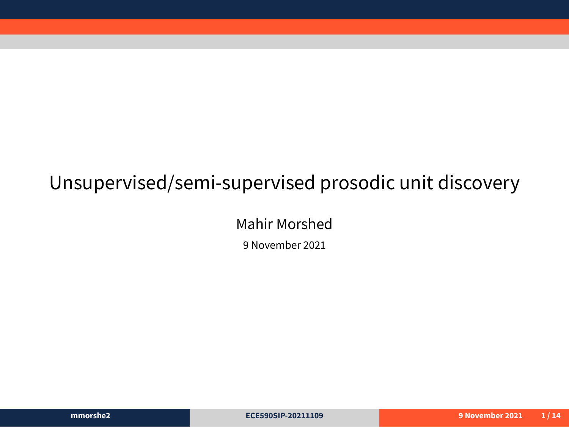## Unsupervised/semi-supervised prosodic unit discovery

Mahir Morshed 9 November 2021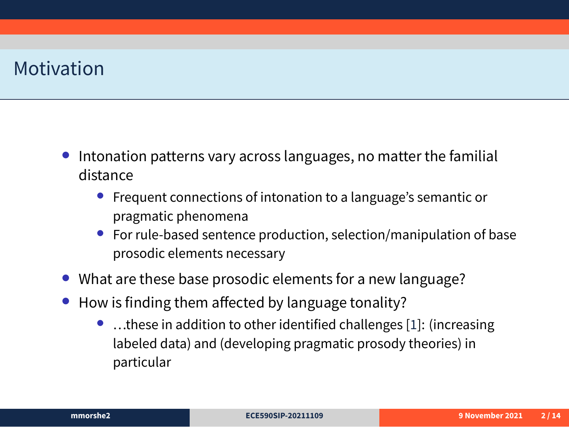#### Motivation

- *•* Intonation patterns vary across languages, no matter the familial distance
	- *•* Frequent connections of intonation to a language's semantic or pragmatic phenomena
	- *•* For rule-based sentence production, selection/manipulation of base prosodic elements necessary
- *•* What are these base prosodic elements for a new language?
- *•* How is finding them affected by language tonality?
	- *•* …these in addition to other identified challenges [1]: (increasing labeled data) and (developing pragmatic prosody theories) in particular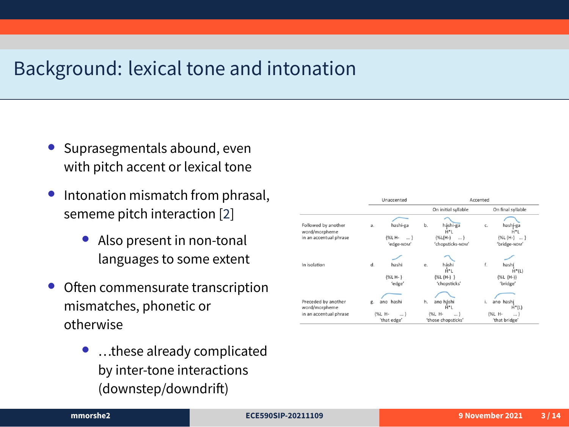## Background: lexical tone and intonation

- *•* Suprasegmentals abound, even with pitch accent or lexical tone
- *•* Intonation mismatch from phrasal, sememe pitch interaction [2]
	- *•* Also present in non-tonal languages to some extent
- *•* Often commensurate transcription mismatches, phonetic or otherwise
	- *•* …these already complicated by inter-tone interactions (downstep/downdrift)

|                                      | Unaccented                               |                                   | Accented                                 |
|--------------------------------------|------------------------------------------|-----------------------------------|------------------------------------------|
|                                      |                                          | On initial syllable               | On final syllable                        |
|                                      |                                          |                                   |                                          |
| Followed by another<br>word/morpheme | hashi-ga<br>a.                           | Ь.<br>háshi-ga<br>H*L             | hashi-ga<br>c.<br>H*L                    |
| in an accentual phrase               | F%L H-<br>$\cdots$                       | ${NL(H-)}$<br>1                   | ${N.L (H-)}$<br>$\cdots$                 |
|                                      | 'edge-NOM'                               | 'chopsticks-NOM'                  | 'bridge-NOM'                             |
|                                      |                                          |                                   |                                          |
| In isolation                         | d.<br>hashi                              | ė.<br>háshi<br>Ĥ*L                | f.<br>hashi<br>$H^*(L)$                  |
|                                      | $(MLH-)$                                 | (%L (H-) ]                        | ${%L(H-)}$                               |
|                                      | 'edge'                                   | 'chopsticks'                      | "bridge"                                 |
|                                      |                                          |                                   |                                          |
| Preceded by another<br>word/morpheme | ano hashi<br>g.                          | h.<br>ano háshi<br>81.            | ĭ.<br>ano hashi<br>H*(L)                 |
| in an accentual phrase               | <b>F%L H-</b><br>$\cdots$<br>'that edge' | PSL H-<br>1<br>'those chopsticks' | <b>FSL H-</b><br>$\sim$<br>'that bridge' |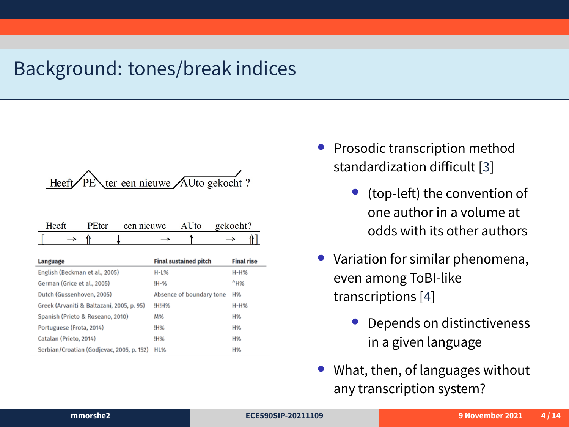## Background: tones/break indices



| Heeft<br>PEter<br>een nieuwe              | AUto                         | gekocht?          |
|-------------------------------------------|------------------------------|-------------------|
|                                           |                              |                   |
| Language                                  | <b>Final sustained pitch</b> | <b>Final rise</b> |
| English (Beckman et al., 2005)            | $H-L%$                       | $H-H%$            |
| German (Grice et al., 2005)               | $H-$ %                       | $^{\prime}$ H%    |
| Dutch (Gussenhoven, 2005)                 | Absence of boundary tone     | <b>H%</b>         |
| Greek (Arvaniti & Baltazani, 2005, p. 95) | !H!H%                        | $H-H%$            |
| Spanish (Prieto & Roseano, 2010)          | M%                           | <b>H%</b>         |
| Portuguese (Frota, 2014)                  | <b>!H%</b>                   | <b>H%</b>         |
| Catalan (Prieto, 2014)                    | !H%                          | <b>H%</b>         |
| Serbian/Croatian (Godievac, 2005, p. 152) | HL%                          | <b>H%</b>         |

- *•* Prosodic transcription method standardization difficult [3]
	- *•* (top-left) the convention of one author in a volume at odds with its other authors
- *•* Variation for similar phenomena, even among ToBI-like transcriptions [4]
	- *•* Depends on distinctiveness in a given language
- *•* What, then, of languages without any transcription system?

| mmorshe2 | ECE590SIP-20211109 | 9 November 2021 | 4/14 |
|----------|--------------------|-----------------|------|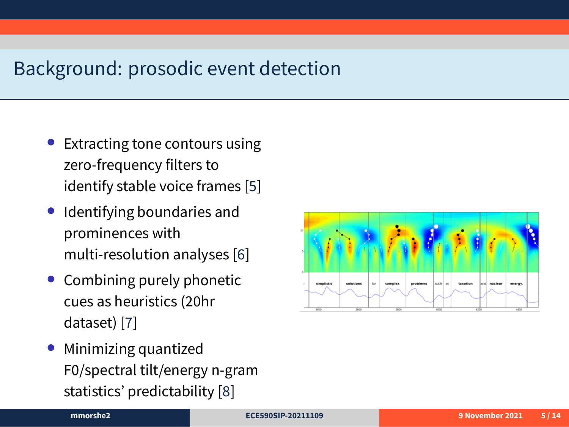## Background: prosodic event detection

- *•* Extracting tone contours using zero-frequency filters to identify stable voice frames [5]
- *•* Identifying boundaries and prominences with multi-resolution analyses [6]
- *•* Combining purely phonetic cues as heuristics (20hr dataset) [7]
- *•* Minimizing quantized F0/spectral tilt/energy n-gram statistics' predictability [8]

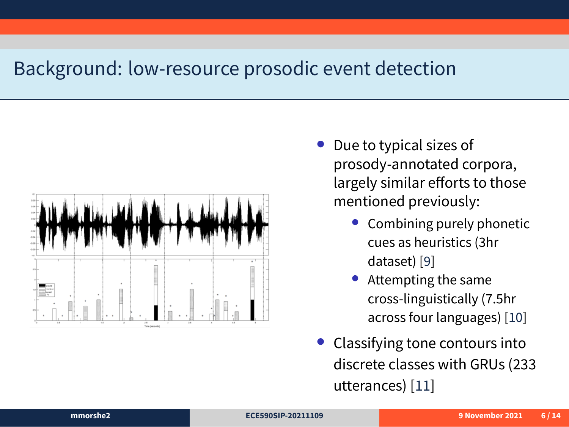## Background: low-resource prosodic event detection



- *•* Due to typical sizes of prosody-annotated corpora, largely similar efforts to those mentioned previously:
	- *•* Combining purely phonetic cues as heuristics (3hr dataset) [9]
	- *•* Attempting the same cross-linguistically (7.5hr across four languages) [10]
- *•* Classifying tone contours into discrete classes with GRUs (233 utterances) [11]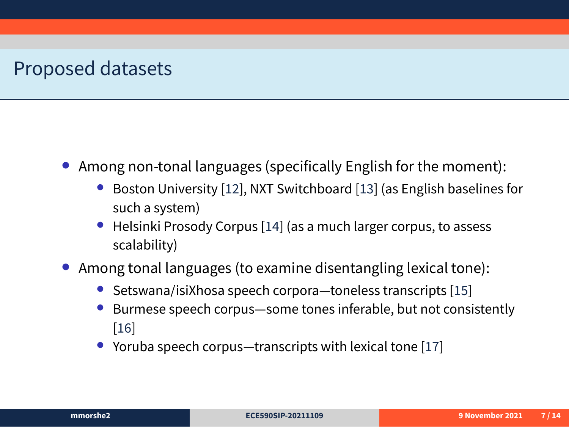## Proposed datasets

- *•* Among non-tonal languages (specifically English for the moment):
	- *•* Boston University [12], NXT Switchboard [13] (as English baselines for such a system)
	- *•* Helsinki Prosody Corpus [14] (as a much larger corpus, to assess scalability)
- *•* Among tonal languages (to examine disentangling lexical tone):
	- *•* Setswana/isiXhosa speech corpora—toneless transcripts [15]
	- *•* Burmese speech corpus—some tones inferable, but not consistently [16]
	- *•* Yoruba speech corpus—transcripts with lexical tone [17]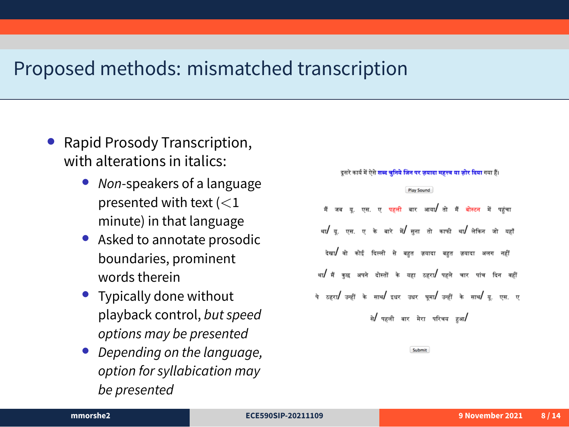## Proposed methods: mismatched transcription

- *•* Rapid Prosody Transcription, with alterations in italics:
	- *• Non*-speakers of a language presented with text (*<*1 minute) in that language
	- *•* Asked to annotate prosodic boundaries, prominent words therein
	- *•* Typically done without playback control, *but speed options may be presented*
	- *• Depending on the language, option for syllabication may be presented*

| दूसरे कार्य में ऐसे <mark>शब्द चुनिये जिन पर ज़यादा महत्त्व या ज़ोर दिया</mark> गया हैं।       |
|------------------------------------------------------------------------------------------------|
| Play Sound                                                                                     |
| मैं जब यू. एस. ए <b>पहली</b> बार आया <b>∕</b> तो मैं <b>बोस्टन</b> में पहंचा                   |
| था <b>/</b> यु. एस. ए के बारे में <b>/</b> सुना तो काफी था <b>/</b> लेकिन जो यहाँ              |
| देखा∕ वो कोई दिल्ली से बहुत ज़यादा बहुत ज़यादा अलग नहीं                                        |
| था <b>/</b> मैं कुछ अपने दोस्तों के यहा ठहरा <b>/</b> पहले चार पांच दिन वहीं                   |
| पे ठहरा <b>/</b> उन्हीं के साथ <b>/</b> इधर उधर घूमा <b>/</b> उन्हीं के साथ <b>/</b> यू. एस. ए |
| से पहली बार मेरा परिचय हआ                                                                      |
| Submit                                                                                         |

**mmorshe2 ECE590SIP-20211109 9 November 2021 8 / 14**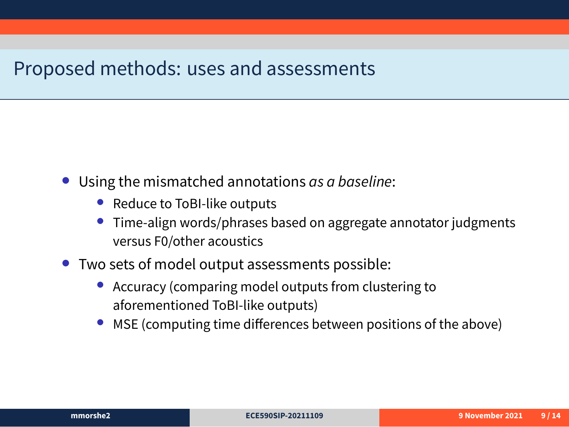#### Proposed methods: uses and assessments

- *•* Using the mismatched annotations *as a baseline*:
	- *•* Reduce to ToBI-like outputs
	- *•* Time-align words/phrases based on aggregate annotator judgments versus F0/other acoustics
- *•* Two sets of model output assessments possible:
	- *•* Accuracy (comparing model outputs from clustering to aforementioned ToBI-like outputs)
	- *•* MSE (computing time differences between positions of the above)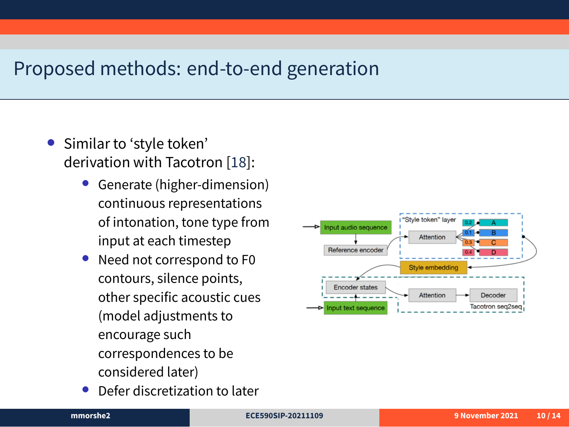## Proposed methods: end-to-end generation

- *•* Similar to 'style token' derivation with Tacotron [18]:
	- *•* Generate (higher-dimension) continuous representations of intonation, tone type from input at each timestep
	- *•* Need not correspond to F0 contours, silence points, other specific acoustic cues (model adjustments to encourage such correspondences to be considered later)
	- *•* Defer discretization to later

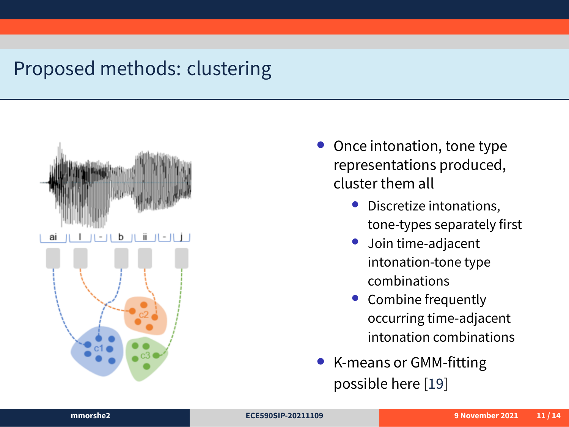# Proposed methods: clustering



- *•* Once intonation, tone type representations produced, cluster them all
	- *•* Discretize intonations, tone-types separately first
	- *•* Join time-adjacent intonation-tone type combinations
	- *•* Combine frequently occurring time-adjacent intonation combinations
- *•* K-means or GMM-fitting possible here [19]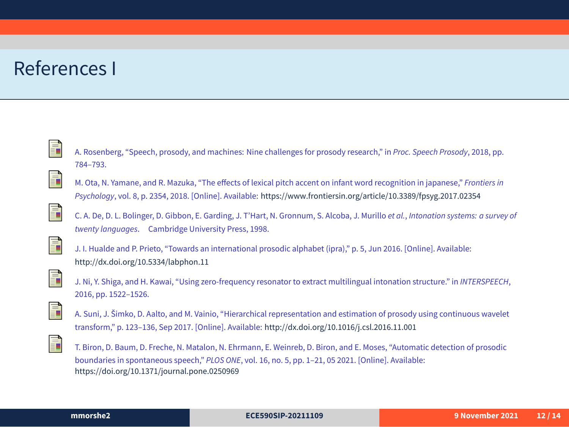# References I

| F  | A. Rosenberg, "Speech, prosody, and machines: Nine challenges for prosody research," in Proc. Speech Prosody, 2018, pp.<br>784-793.                                                                                                                                                |
|----|------------------------------------------------------------------------------------------------------------------------------------------------------------------------------------------------------------------------------------------------------------------------------------|
| ī  | M. Ota, N. Yamane, and R. Mazuka, "The effects of lexical pitch accent on infant word recognition in japanese," Frontiers in<br>Psychology, vol. 8, p. 2354, 2018. [Online]. Available: https://www.frontiersin.org/article/10.3389/fpsyg.2017.02354                               |
| j. | C. A. De, D. L. Bolinger, D. Gibbon, E. Garding, J. T'Hart, N. Gronnum, S. Alcoba, J. Murillo et al., Intonation systems: a survey of<br>twenty languages. Cambridge University Press, 1998.                                                                                       |
| F  | J. I. Hualde and P. Prieto, "Towards an international prosodic alphabet (ipra)," p. 5, Jun 2016. [Online]. Available:<br>http://dx.doi.org/10.5334/labphon.11                                                                                                                      |
| 螶  | J. Ni, Y. Shiga, and H. Kawai, "Using zero-frequency resonator to extract multilingual intonation structure." in INTERSPEECH,<br>2016, pp. 1522-1526.                                                                                                                              |
| F  | A. Suni, J. Šimko, D. Aalto, and M. Vainio, "Hierarchical representation and estimation of prosody using continuous wavelet<br>transform," p. 123-136, Sep 2017. [Online]. Available: http://dx.doi.org/10.1016/j.csl.2016.11.001                                                  |
| ā. | T. Biron, D. Baum, D. Freche, N. Matalon, N. Ehrmann, E. Weinreb, D. Biron, and E. Moses, "Automatic detection of prosodic<br>boundaries in spontaneous speech," PLOS ONE, vol. 16, no. 5, pp. 1-21, 05 2021. [Online]. Available:<br>https://doi.org/10.1371/journal.pone.0250969 |
|    |                                                                                                                                                                                                                                                                                    |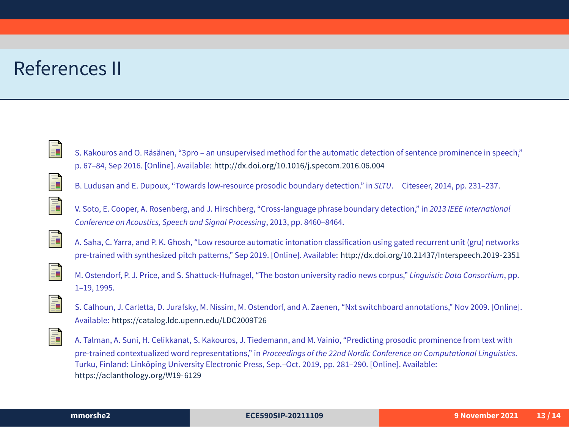## References II

|   | S. Kakouros and O. Räsänen, "3pro – an unsupervised method for the automatic detection of sentence prominence in speech,"<br>p. 67-84, Sep 2016. [Online]. Available: http://dx.doi.org/10.1016/j.specom.2016.06.004                                                                                                                                                                                         |
|---|--------------------------------------------------------------------------------------------------------------------------------------------------------------------------------------------------------------------------------------------------------------------------------------------------------------------------------------------------------------------------------------------------------------|
| F | B. Ludusan and E. Dupoux, "Towards low-resource prosodic boundary detection." in SLTU. Citeseer, 2014, pp. 231-237.                                                                                                                                                                                                                                                                                          |
| F | V. Soto, E. Cooper, A. Rosenberg, and J. Hirschberg, "Cross-language phrase boundary detection," in 2013 IEEE International<br>Conference on Acoustics, Speech and Signal Processing, 2013, pp. 8460-8464.                                                                                                                                                                                                   |
|   | A. Saha, C. Yarra, and P. K. Ghosh, "Low resource automatic intonation classification using gated recurrent unit (gru) networks<br>pre-trained with synthesized pitch patterns," Sep 2019. [Online]. Available: http://dx.doi.org/10.21437/Interspeech.2019-2351                                                                                                                                             |
|   | M. Ostendorf, P. J. Price, and S. Shattuck-Hufnagel, "The boston university radio news corpus," Linguistic Data Consortium, pp.<br>1-19, 1995.                                                                                                                                                                                                                                                               |
|   | S. Calhoun, J. Carletta, D. Jurafsky, M. Nissim, M. Ostendorf, and A. Zaenen, "Nxt switchboard annotations," Nov 2009. [Online].<br>Available: https://catalog.ldc.upenn.edu/LDC2009T26                                                                                                                                                                                                                      |
|   | A. Talman, A. Suni, H. Celikkanat, S. Kakouros, J. Tiedemann, and M. Vainio, "Predicting prosodic prominence from text with<br>pre-trained contextualized word representations," in Proceedings of the 22nd Nordic Conference on Computational Linguistics.<br>Turku, Finland: Linköping University Electronic Press, Sep.-Oct. 2019, pp. 281-290. [Online]. Available:<br>https://aclanthology.org/W19-6129 |